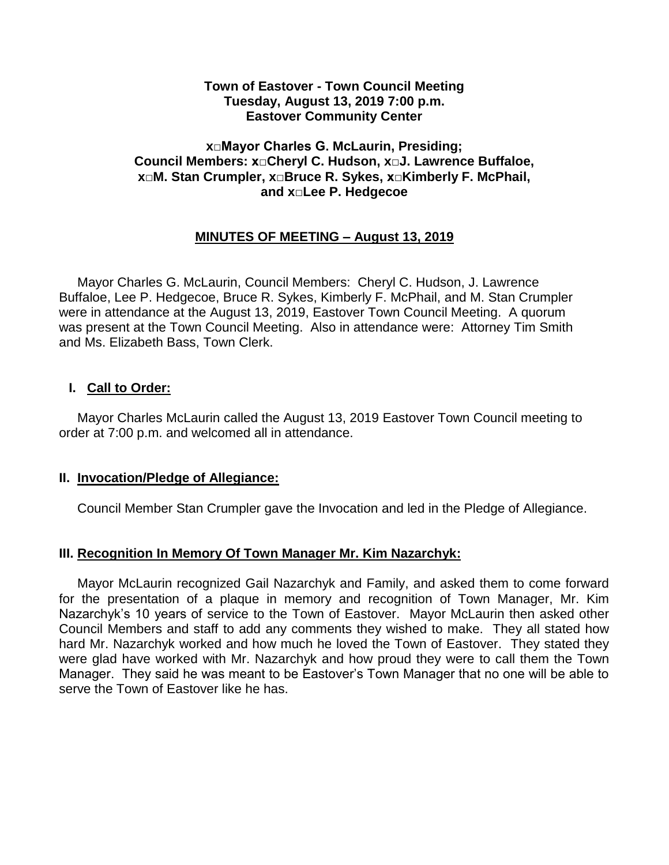### **Town of Eastover - Town Council Meeting Tuesday, August 13, 2019 7:00 p.m. Eastover Community Center**

## **x□Mayor Charles G. McLaurin, Presiding; Council Members: x□Cheryl C. Hudson, x□J. Lawrence Buffaloe, x□M. Stan Crumpler, x□Bruce R. Sykes, x□Kimberly F. McPhail, and x□Lee P. Hedgecoe**

# **MINUTES OF MEETING – August 13, 2019**

 Mayor Charles G. McLaurin, Council Members: Cheryl C. Hudson, J. Lawrence Buffaloe, Lee P. Hedgecoe, Bruce R. Sykes, Kimberly F. McPhail, and M. Stan Crumpler were in attendance at the August 13, 2019, Eastover Town Council Meeting. A quorum was present at the Town Council Meeting. Also in attendance were: Attorney Tim Smith and Ms. Elizabeth Bass, Town Clerk.

### **I. Call to Order:**

 Mayor Charles McLaurin called the August 13, 2019 Eastover Town Council meeting to order at 7:00 p.m. and welcomed all in attendance.

#### **II. Invocation/Pledge of Allegiance:**

Council Member Stan Crumpler gave the Invocation and led in the Pledge of Allegiance.

## **III. Recognition In Memory Of Town Manager Mr. Kim Nazarchyk:**

 Mayor McLaurin recognized Gail Nazarchyk and Family, and asked them to come forward for the presentation of a plaque in memory and recognition of Town Manager, Mr. Kim Nazarchyk's 10 years of service to the Town of Eastover. Mayor McLaurin then asked other Council Members and staff to add any comments they wished to make. They all stated how hard Mr. Nazarchyk worked and how much he loved the Town of Eastover. They stated they were glad have worked with Mr. Nazarchyk and how proud they were to call them the Town Manager. They said he was meant to be Eastover's Town Manager that no one will be able to serve the Town of Eastover like he has.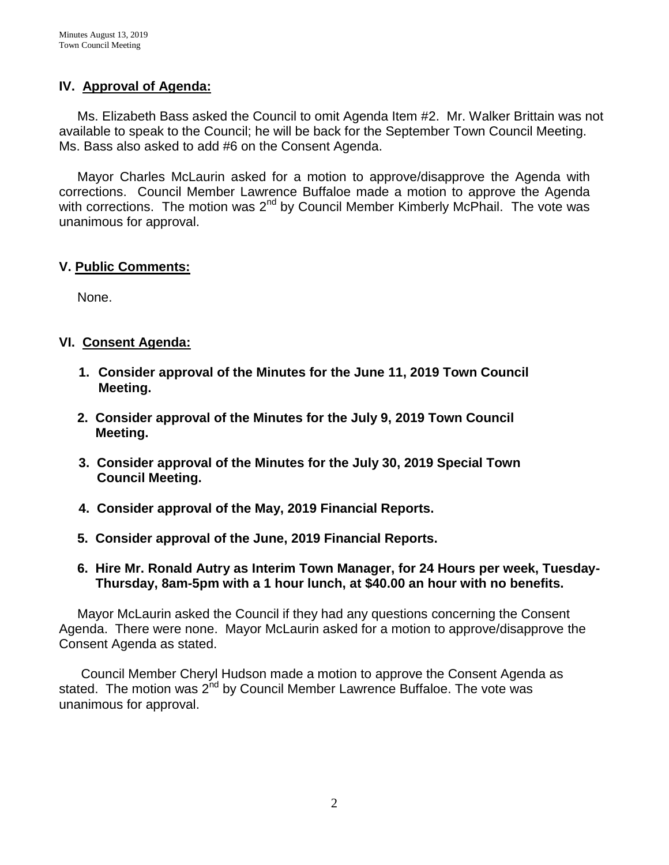## **IV. Approval of Agenda:**

 Ms. Elizabeth Bass asked the Council to omit Agenda Item #2. Mr. Walker Brittain was not available to speak to the Council; he will be back for the September Town Council Meeting. Ms. Bass also asked to add #6 on the Consent Agenda.

 Mayor Charles McLaurin asked for a motion to approve/disapprove the Agenda with corrections. Council Member Lawrence Buffaloe made a motion to approve the Agenda with corrections. The motion was 2<sup>nd</sup> by Council Member Kimberly McPhail. The vote was unanimous for approval.

## **V. Public Comments:**

None.

# **VI. Consent Agenda:**

- **1. Consider approval of the Minutes for the June 11, 2019 Town Council Meeting.**
- **2. Consider approval of the Minutes for the July 9, 2019 Town Council Meeting.**
- **3. Consider approval of the Minutes for the July 30, 2019 Special Town Council Meeting.**
- **4. Consider approval of the May, 2019 Financial Reports.**
- **5. Consider approval of the June, 2019 Financial Reports.**

## **6. Hire Mr. Ronald Autry as Interim Town Manager, for 24 Hours per week, Tuesday- Thursday, 8am-5pm with a 1 hour lunch, at \$40.00 an hour with no benefits.**

 Mayor McLaurin asked the Council if they had any questions concerning the Consent Agenda. There were none. Mayor McLaurin asked for a motion to approve/disapprove the Consent Agenda as stated.

 Council Member Cheryl Hudson made a motion to approve the Consent Agenda as stated. The motion was 2<sup>nd</sup> by Council Member Lawrence Buffaloe. The vote was unanimous for approval.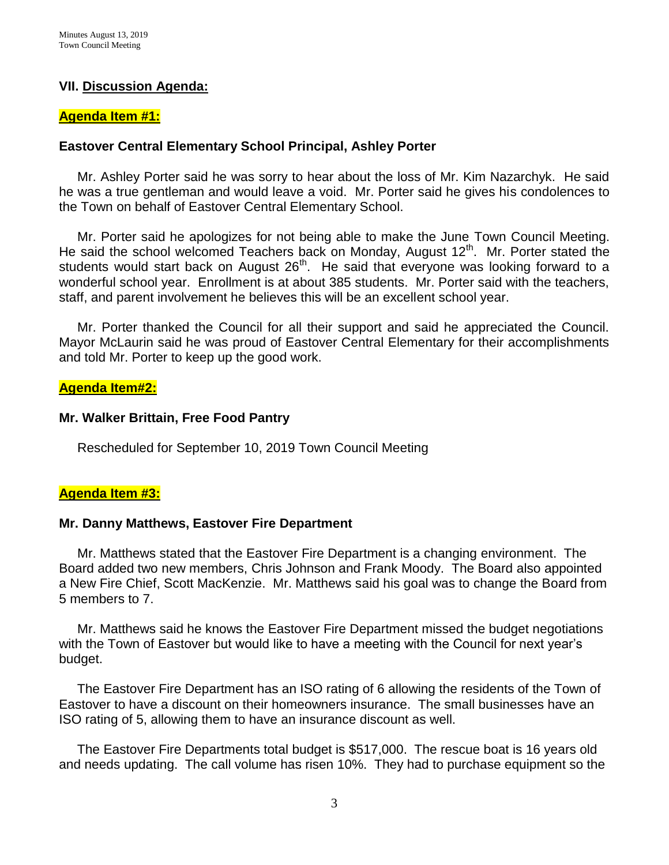### **VII. Discussion Agenda:**

#### **Agenda Item #1:**

#### **Eastover Central Elementary School Principal, Ashley Porter**

Mr. Ashley Porter said he was sorry to hear about the loss of Mr. Kim Nazarchyk. He said he was a true gentleman and would leave a void. Mr. Porter said he gives his condolences to the Town on behalf of Eastover Central Elementary School.

 Mr. Porter said he apologizes for not being able to make the June Town Council Meeting. He said the school welcomed Teachers back on Monday, August 12<sup>th</sup>. Mr. Porter stated the students would start back on August  $26<sup>th</sup>$ . He said that everyone was looking forward to a wonderful school year. Enrollment is at about 385 students. Mr. Porter said with the teachers, staff, and parent involvement he believes this will be an excellent school year.

 Mr. Porter thanked the Council for all their support and said he appreciated the Council. Mayor McLaurin said he was proud of Eastover Central Elementary for their accomplishments and told Mr. Porter to keep up the good work.

#### **Agenda Item#2:**

#### **Mr. Walker Brittain, Free Food Pantry**

Rescheduled for September 10, 2019 Town Council Meeting

#### **Agenda Item #3:**

#### **Mr. Danny Matthews, Eastover Fire Department**

Mr. Matthews stated that the Eastover Fire Department is a changing environment. The Board added two new members, Chris Johnson and Frank Moody. The Board also appointed a New Fire Chief, Scott MacKenzie. Mr. Matthews said his goal was to change the Board from 5 members to 7.

 Mr. Matthews said he knows the Eastover Fire Department missed the budget negotiations with the Town of Eastover but would like to have a meeting with the Council for next year's budget.

 The Eastover Fire Department has an ISO rating of 6 allowing the residents of the Town of Eastover to have a discount on their homeowners insurance. The small businesses have an ISO rating of 5, allowing them to have an insurance discount as well.

 The Eastover Fire Departments total budget is \$517,000. The rescue boat is 16 years old and needs updating. The call volume has risen 10%. They had to purchase equipment so the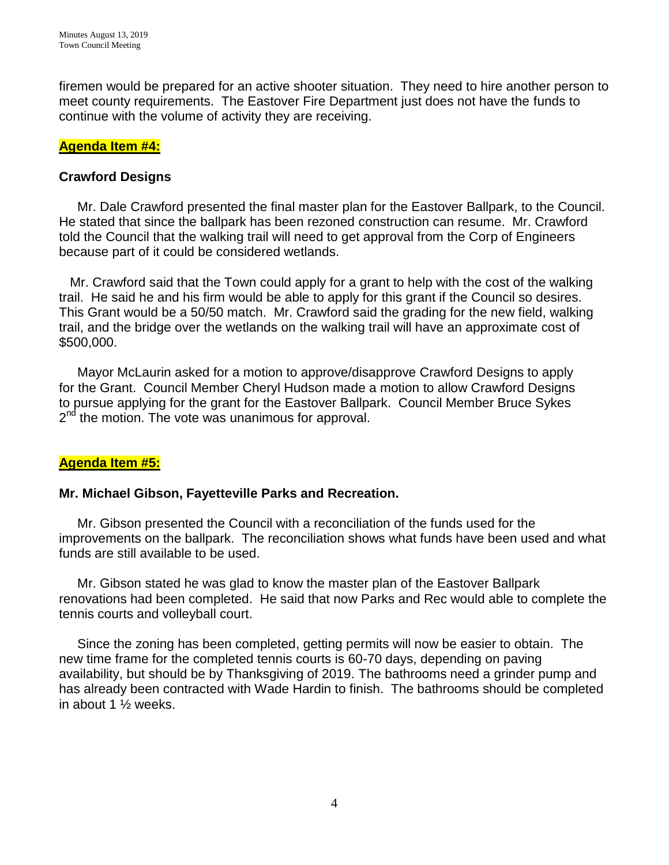firemen would be prepared for an active shooter situation. They need to hire another person to meet county requirements. The Eastover Fire Department just does not have the funds to continue with the volume of activity they are receiving.

## **Agenda Item #4:**

## **Crawford Designs**

 Mr. Dale Crawford presented the final master plan for the Eastover Ballpark, to the Council. He stated that since the ballpark has been rezoned construction can resume. Mr. Crawford told the Council that the walking trail will need to get approval from the Corp of Engineers because part of it could be considered wetlands.

 Mr. Crawford said that the Town could apply for a grant to help with the cost of the walking trail. He said he and his firm would be able to apply for this grant if the Council so desires. This Grant would be a 50/50 match. Mr. Crawford said the grading for the new field, walking trail, and the bridge over the wetlands on the walking trail will have an approximate cost of \$500,000.

 Mayor McLaurin asked for a motion to approve/disapprove Crawford Designs to apply for the Grant. Council Member Cheryl Hudson made a motion to allow Crawford Designs to pursue applying for the grant for the Eastover Ballpark. Council Member Bruce Sykes 2<sup>nd</sup> the motion. The vote was unanimous for approval.

# **Agenda Item #5:**

## **Mr. Michael Gibson, Fayetteville Parks and Recreation.**

Mr. Gibson presented the Council with a reconciliation of the funds used for the improvements on the ballpark. The reconciliation shows what funds have been used and what funds are still available to be used.

 Mr. Gibson stated he was glad to know the master plan of the Eastover Ballpark renovations had been completed. He said that now Parks and Rec would able to complete the tennis courts and volleyball court.

 Since the zoning has been completed, getting permits will now be easier to obtain. The new time frame for the completed tennis courts is 60-70 days, depending on paving availability, but should be by Thanksgiving of 2019. The bathrooms need a grinder pump and has already been contracted with Wade Hardin to finish. The bathrooms should be completed in about 1 ½ weeks.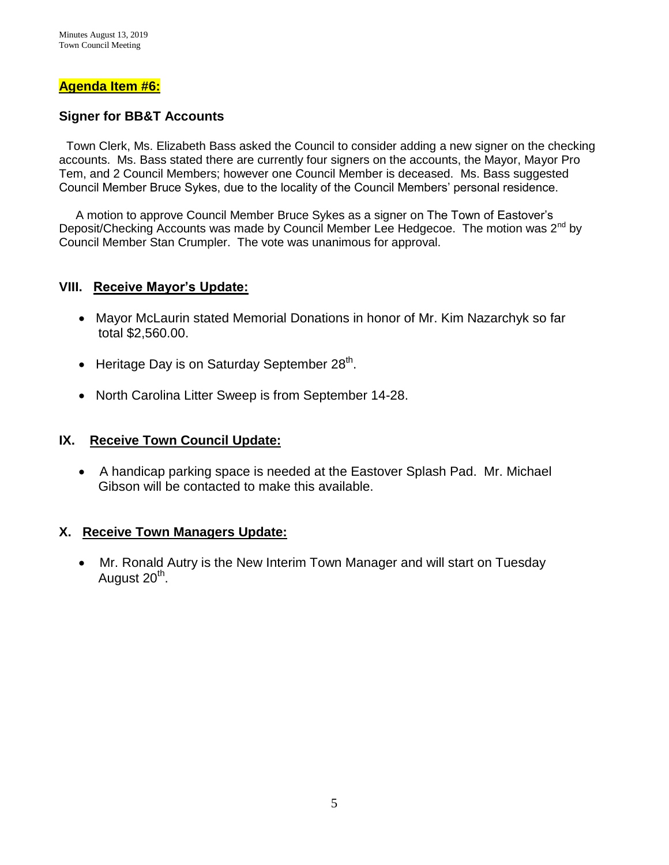### **Agenda Item #6:**

## **Signer for BB&T Accounts**

 Town Clerk, Ms. Elizabeth Bass asked the Council to consider adding a new signer on the checking accounts. Ms. Bass stated there are currently four signers on the accounts, the Mayor, Mayor Pro Tem, and 2 Council Members; however one Council Member is deceased. Ms. Bass suggested Council Member Bruce Sykes, due to the locality of the Council Members' personal residence.

 A motion to approve Council Member Bruce Sykes as a signer on The Town of Eastover's Deposit/Checking Accounts was made by Council Member Lee Hedgecoe. The motion was 2<sup>nd</sup> by Council Member Stan Crumpler. The vote was unanimous for approval.

### **VIII. Receive Mayor's Update:**

- Mayor McLaurin stated Memorial Donations in honor of Mr. Kim Nazarchyk so far total \$2,560.00.
- $\bullet$  Heritage Day is on Saturday September 28<sup>th</sup>.
- North Carolina Litter Sweep is from September 14-28.

## **IX. Receive Town Council Update:**

• A handicap parking space is needed at the Eastover Splash Pad. Mr. Michael Gibson will be contacted to make this available.

## **X. Receive Town Managers Update:**

 Mr. Ronald Autry is the New Interim Town Manager and will start on Tuesday August 20<sup>th</sup>.